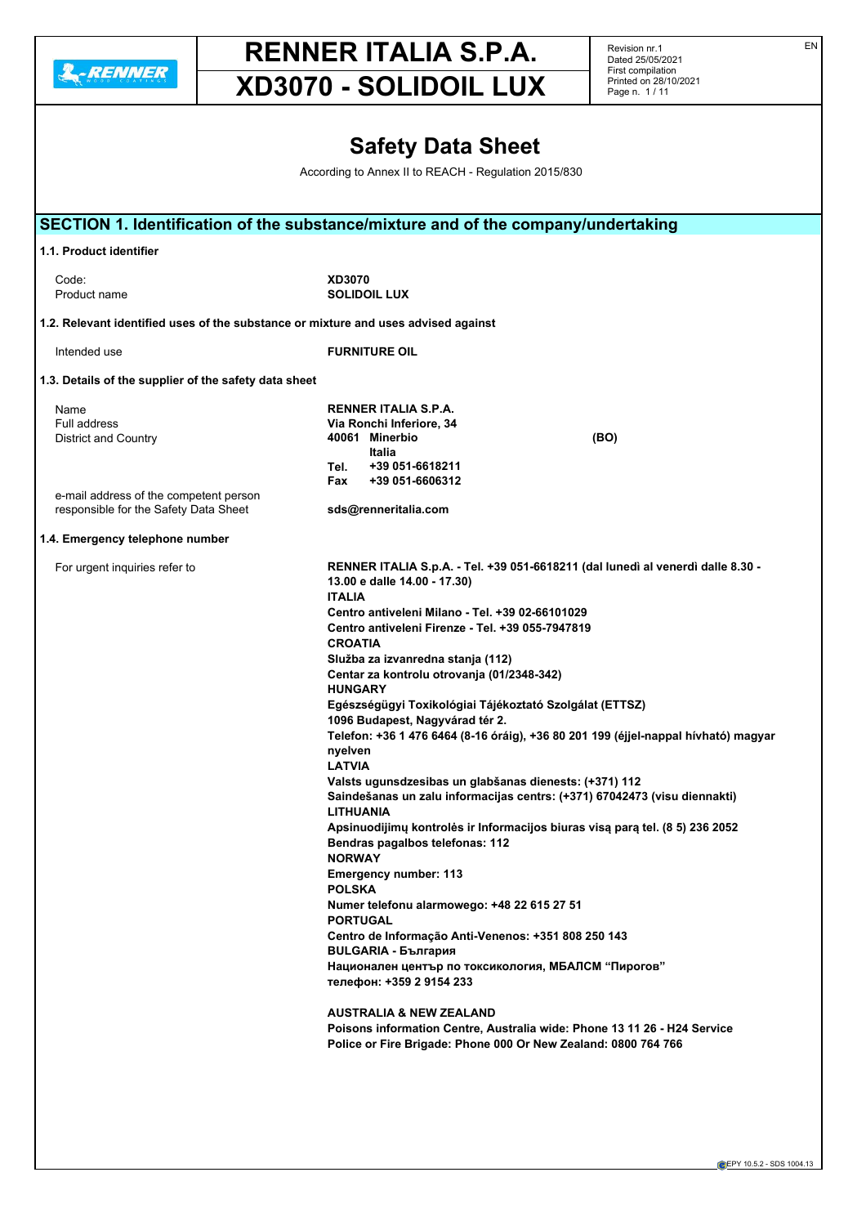

# **RENNER ITALIA S.P.A.**

Revision nr.1 Dated 25/05/2021 First compilation

|                         |                                                                                    | First compilation<br>Printed on 28/10/2021 |
|-------------------------|------------------------------------------------------------------------------------|--------------------------------------------|
|                         | XD3070 - SOLIDOIL LUX                                                              | Page n. 1/11                               |
|                         |                                                                                    |                                            |
|                         | <b>Safety Data Sheet</b>                                                           |                                            |
|                         | According to Annex II to REACH - Regulation 2015/830                               |                                            |
|                         |                                                                                    |                                            |
|                         | SECTION 1. Identification of the substance/mixture and of the company/undertaking  |                                            |
| 1.1. Product identifier |                                                                                    |                                            |
| Code:<br>Product name   | <b>XD3070</b><br><b>SOLIDOIL LUX</b>                                               |                                            |
|                         | 1.2. Relevant identified uses of the substance or mixture and uses advised against |                                            |
| Intended use            | <b>FURNITURE OIL</b>                                                               |                                            |

### **1.3. Details of the supplier of the safety data sheet**

| Name                                                                            | <b>RENNER ITALIA S.P.A.</b>      |                                                                                 |
|---------------------------------------------------------------------------------|----------------------------------|---------------------------------------------------------------------------------|
| Full address                                                                    | Via Ronchi Inferiore, 34         |                                                                                 |
| District and Country                                                            | Minerbio<br>40061<br>Italia      | (BO)                                                                            |
|                                                                                 | Tel.<br>+39 051-6618211          |                                                                                 |
|                                                                                 | +39 051-6606312<br>Fax           |                                                                                 |
| e-mail address of the competent person<br>responsible for the Safety Data Sheet | sds@renneritalia.com             |                                                                                 |
| 1.4. Emergency telephone number                                                 |                                  |                                                                                 |
| For urgent inquiries refer to                                                   | $10.00 - 1 - 11 - 11.00 - 17.00$ | RENNER ITALIA S.p.A. - Tel. +39 051-6618211 (dal lunedì al venerdì dalle 8.30 - |

**13.00 e dalle 14.00 - 17.30) ITALIA Centro antiveleni Milano - Tel. +39 02-66101029 Centro antiveleni Firenze - Tel. +39 055-7947819 CROATIA Služba za izvanredna stanja (112) Centar za kontrolu otrovanja (01/2348-342) HUNGARY Egészségügyi Toxikológiai Tájékoztató Szolgálat (ETTSZ) 1096 Budapest, Nagyvárad tér 2. Telefon: +36 1 476 6464 (8-16 óráig), +36 80 201 199 (éjjel-nappal hívható) magyar nyelven LATVIA Valsts ugunsdzesibas un glabšanas dienests: (+371) 112 Saindešanas un zalu informacijas centrs: (+371) 67042473 (visu diennakti) LITHUANIA Apsinuodijimų kontrolės ir Informacijos biuras visą parą tel. (8 5) 236 2052 Bendras pagalbos telefonas: 112 NORWAY Emergency number: 113 POLSKA Numer telefonu alarmowego: +48 22 615 27 51 PORTUGAL Centro de Informação Anti-Venenos: +351 808 250 143 BULGARIA - България Национален център по токсикология, МБАЛСМ "Пирогов" телефон: +359 2 9154 233**

**AUSTRALIA & NEW ZEALAND Poisons information Centre, Australia wide: Phone 13 11 26 - H24 Service Police or Fire Brigade: Phone 000 Or New Zealand: 0800 764 766**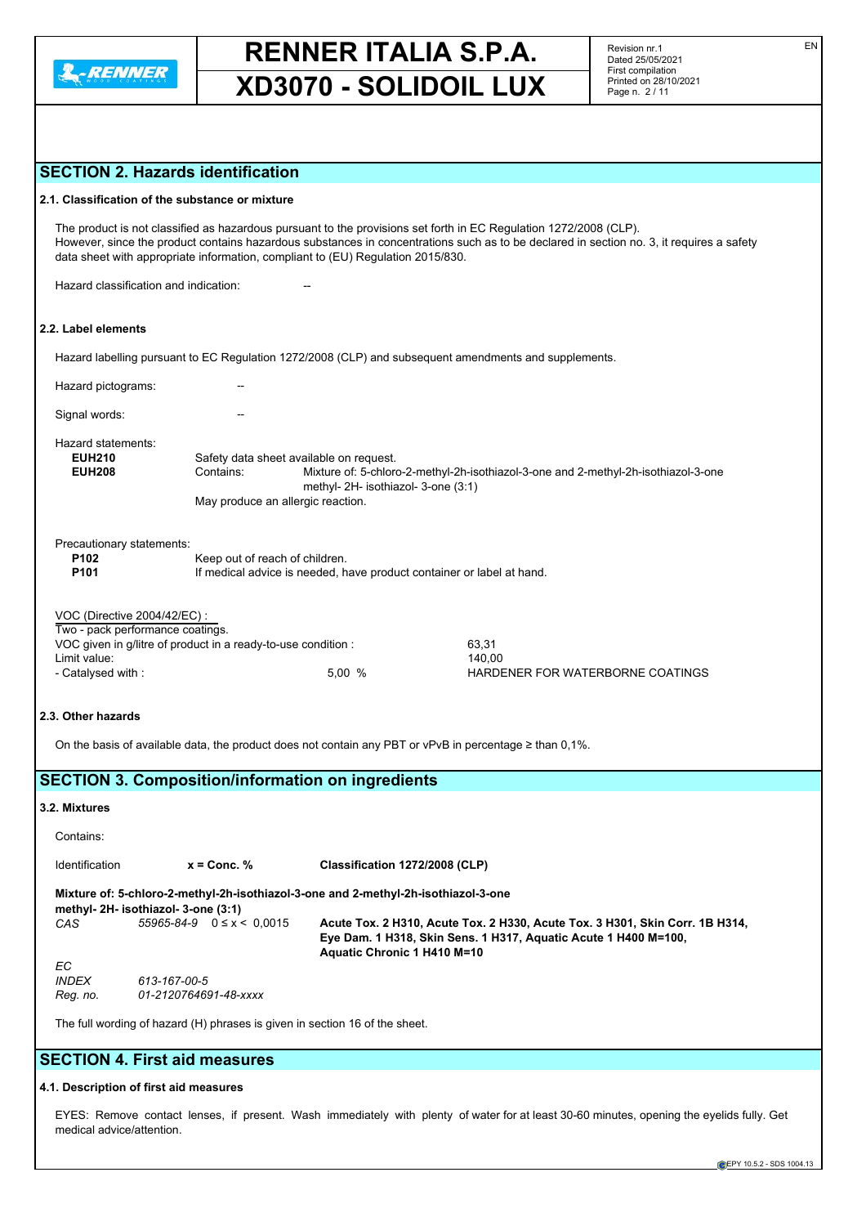

Revision nr.1 Dated 25/05/2021 First compilation Printed on 28/10/2021 Page n. 2 / 11

# **SECTION 2. Hazards identification**

|                                                                                                                                                                                                                                                                                                                                                  | <b>UN 4. Hazaras lacitulio</b>                                                     |                                                                                                                           |  |  |  |
|--------------------------------------------------------------------------------------------------------------------------------------------------------------------------------------------------------------------------------------------------------------------------------------------------------------------------------------------------|------------------------------------------------------------------------------------|---------------------------------------------------------------------------------------------------------------------------|--|--|--|
|                                                                                                                                                                                                                                                                                                                                                  | 2.1. Classification of the substance or mixture                                    |                                                                                                                           |  |  |  |
| The product is not classified as hazardous pursuant to the provisions set forth in EC Regulation 1272/2008 (CLP).<br>However, since the product contains hazardous substances in concentrations such as to be declared in section no. 3, it requires a safety<br>data sheet with appropriate information, compliant to (EU) Regulation 2015/830. |                                                                                    |                                                                                                                           |  |  |  |
|                                                                                                                                                                                                                                                                                                                                                  | Hazard classification and indication:                                              |                                                                                                                           |  |  |  |
| 2.2. Label elements                                                                                                                                                                                                                                                                                                                              |                                                                                    |                                                                                                                           |  |  |  |
|                                                                                                                                                                                                                                                                                                                                                  |                                                                                    | Hazard labelling pursuant to EC Regulation 1272/2008 (CLP) and subsequent amendments and supplements.                     |  |  |  |
| Hazard pictograms:                                                                                                                                                                                                                                                                                                                               |                                                                                    |                                                                                                                           |  |  |  |
| Signal words:                                                                                                                                                                                                                                                                                                                                    |                                                                                    |                                                                                                                           |  |  |  |
| Hazard statements:                                                                                                                                                                                                                                                                                                                               |                                                                                    |                                                                                                                           |  |  |  |
| <b>EUH210</b>                                                                                                                                                                                                                                                                                                                                    | Safety data sheet available on request.                                            |                                                                                                                           |  |  |  |
| <b>EUH208</b>                                                                                                                                                                                                                                                                                                                                    | Contains:                                                                          | Mixture of: 5-chloro-2-methyl-2h-isothiazol-3-one and 2-methyl-2h-isothiazol-3-one<br>methyl- 2H- isothiazol- 3-one (3:1) |  |  |  |
|                                                                                                                                                                                                                                                                                                                                                  | May produce an allergic reaction.                                                  |                                                                                                                           |  |  |  |
| Precautionary statements:                                                                                                                                                                                                                                                                                                                        |                                                                                    |                                                                                                                           |  |  |  |
| P102<br>Keep out of reach of children.                                                                                                                                                                                                                                                                                                           |                                                                                    |                                                                                                                           |  |  |  |
| P <sub>101</sub>                                                                                                                                                                                                                                                                                                                                 |                                                                                    | If medical advice is needed, have product container or label at hand.                                                     |  |  |  |
|                                                                                                                                                                                                                                                                                                                                                  | VOC (Directive 2004/42/EC) :                                                       |                                                                                                                           |  |  |  |
|                                                                                                                                                                                                                                                                                                                                                  | Two - pack performance coatings.                                                   |                                                                                                                           |  |  |  |
|                                                                                                                                                                                                                                                                                                                                                  | VOC given in g/litre of product in a ready-to-use condition :                      | 63,31                                                                                                                     |  |  |  |
| Limit value:<br>- Catalysed with:                                                                                                                                                                                                                                                                                                                |                                                                                    | 140,00<br>5,00 %<br>HARDENER FOR WATERBORNE COATINGS                                                                      |  |  |  |
|                                                                                                                                                                                                                                                                                                                                                  |                                                                                    |                                                                                                                           |  |  |  |
| 2.3. Other hazards                                                                                                                                                                                                                                                                                                                               |                                                                                    |                                                                                                                           |  |  |  |
|                                                                                                                                                                                                                                                                                                                                                  |                                                                                    | On the basis of available data, the product does not contain any PBT or vPvB in percentage $\geq$ than 0,1%.              |  |  |  |
|                                                                                                                                                                                                                                                                                                                                                  | <b>SECTION 3. Composition/information on ingredients</b>                           |                                                                                                                           |  |  |  |
| 3.2. Mixtures                                                                                                                                                                                                                                                                                                                                    |                                                                                    |                                                                                                                           |  |  |  |
| Contains:                                                                                                                                                                                                                                                                                                                                        |                                                                                    |                                                                                                                           |  |  |  |
| Identification                                                                                                                                                                                                                                                                                                                                   | $x =$ Conc. $%$                                                                    | Classification 1272/2008 (CLP)                                                                                            |  |  |  |
|                                                                                                                                                                                                                                                                                                                                                  | Mixture of: 5-chloro-2-methyl-2h-isothiazol-3-one and 2-methyl-2h-isothiazol-3-one |                                                                                                                           |  |  |  |
| CAS                                                                                                                                                                                                                                                                                                                                              | methyl- 2H- isothiazol- 3-one (3:1)<br>$55965 - 84 - 9$ $0 \le x \le 0.0015$       | Acute Tox. 2 H310, Acute Tox. 2 H330, Acute Tox. 3 H301, Skin Corr. 1B H314,                                              |  |  |  |
|                                                                                                                                                                                                                                                                                                                                                  |                                                                                    | Eye Dam. 1 H318, Skin Sens. 1 H317, Aquatic Acute 1 H400 M=100,<br>Aquatic Chronic 1 H410 M=10                            |  |  |  |
| ЕC                                                                                                                                                                                                                                                                                                                                               |                                                                                    |                                                                                                                           |  |  |  |
| <b>INDEX</b>                                                                                                                                                                                                                                                                                                                                     | 613-167-00-5                                                                       |                                                                                                                           |  |  |  |
| Reg. no.                                                                                                                                                                                                                                                                                                                                         | 01-2120764691-48-xxxx                                                              |                                                                                                                           |  |  |  |

The full wording of hazard (H) phrases is given in section 16 of the sheet.

# **SECTION 4. First aid measures**

#### **4.1. Description of first aid measures**

EYES: Remove contact lenses, if present. Wash immediately with plenty of water for at least 30-60 minutes, opening the eyelids fully. Get medical advice/attention.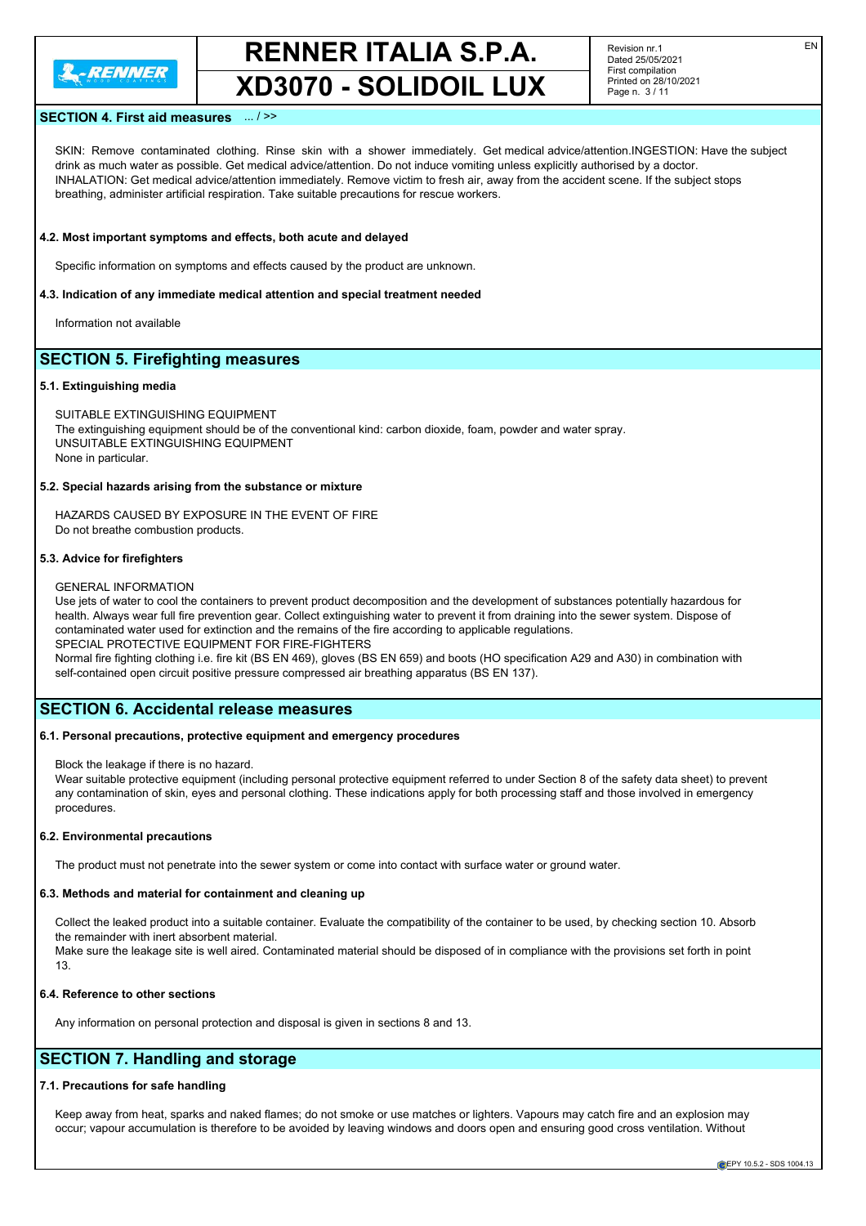

Revision nr.1 Dated 25/05/2021 First compilation Printed on 28/10/2021 Page n. 3 / 11

#### **SECTION 4. First aid measures** ... / >>

SKIN: Remove contaminated clothing. Rinse skin with a shower immediately. Get medical advice/attention.INGESTION: Have the subject drink as much water as possible. Get medical advice/attention. Do not induce vomiting unless explicitly authorised by a doctor. INHALATION: Get medical advice/attention immediately. Remove victim to fresh air, away from the accident scene. If the subject stops breathing, administer artificial respiration. Take suitable precautions for rescue workers.

#### **4.2. Most important symptoms and effects, both acute and delayed**

Specific information on symptoms and effects caused by the product are unknown.

#### **4.3. Indication of any immediate medical attention and special treatment needed**

Information not available

# **SECTION 5. Firefighting measures**

#### **5.1. Extinguishing media**

SUITABLE EXTINGUISHING EQUIPMENT The extinguishing equipment should be of the conventional kind: carbon dioxide, foam, powder and water spray. UNSUITABLE EXTINGUISHING EQUIPMENT None in particular.

#### **5.2. Special hazards arising from the substance or mixture**

HAZARDS CAUSED BY EXPOSURE IN THE EVENT OF FIRE Do not breathe combustion products.

#### **5.3. Advice for firefighters**

#### GENERAL INFORMATION

Use jets of water to cool the containers to prevent product decomposition and the development of substances potentially hazardous for health. Always wear full fire prevention gear. Collect extinguishing water to prevent it from draining into the sewer system. Dispose of contaminated water used for extinction and the remains of the fire according to applicable regulations. SPECIAL PROTECTIVE EQUIPMENT FOR FIRE-FIGHTERS

Normal fire fighting clothing i.e. fire kit (BS EN 469), gloves (BS EN 659) and boots (HO specification A29 and A30) in combination with self-contained open circuit positive pressure compressed air breathing apparatus (BS EN 137).

#### **SECTION 6. Accidental release measures**

#### **6.1. Personal precautions, protective equipment and emergency procedures**

Block the leakage if there is no hazard.

Wear suitable protective equipment (including personal protective equipment referred to under Section 8 of the safety data sheet) to prevent any contamination of skin, eyes and personal clothing. These indications apply for both processing staff and those involved in emergency procedures.

#### **6.2. Environmental precautions**

The product must not penetrate into the sewer system or come into contact with surface water or ground water.

#### **6.3. Methods and material for containment and cleaning up**

Collect the leaked product into a suitable container. Evaluate the compatibility of the container to be used, by checking section 10. Absorb the remainder with inert absorbent material. Make sure the leakage site is well aired. Contaminated material should be disposed of in compliance with the provisions set forth in point 13.

#### **6.4. Reference to other sections**

Any information on personal protection and disposal is given in sections 8 and 13.

# **SECTION 7. Handling and storage**

#### **7.1. Precautions for safe handling**

Keep away from heat, sparks and naked flames; do not smoke or use matches or lighters. Vapours may catch fire and an explosion may occur; vapour accumulation is therefore to be avoided by leaving windows and doors open and ensuring good cross ventilation. Without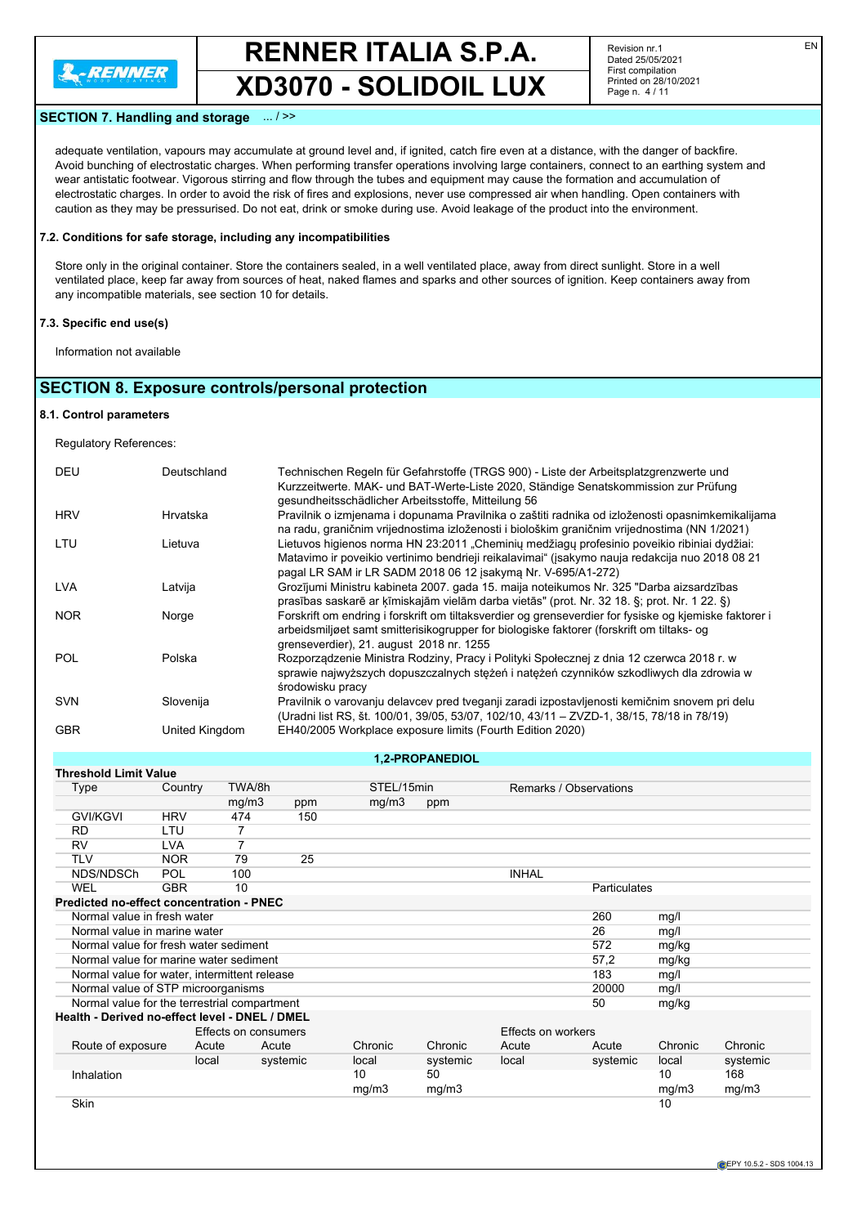

Revision nr.1 Dated 25/05/2021 First compilation Printed on 28/10/2021 Page n. 4 / 11

#### **SECTION 7. Handling and storage** ... / >>

adequate ventilation, vapours may accumulate at ground level and, if ignited, catch fire even at a distance, with the danger of backfire. Avoid bunching of electrostatic charges. When performing transfer operations involving large containers, connect to an earthing system and wear antistatic footwear. Vigorous stirring and flow through the tubes and equipment may cause the formation and accumulation of electrostatic charges. In order to avoid the risk of fires and explosions, never use compressed air when handling. Open containers with caution as they may be pressurised. Do not eat, drink or smoke during use. Avoid leakage of the product into the environment.

#### **7.2. Conditions for safe storage, including any incompatibilities**

Store only in the original container. Store the containers sealed, in a well ventilated place, away from direct sunlight. Store in a well ventilated place, keep far away from sources of heat, naked flames and sparks and other sources of ignition. Keep containers away from any incompatible materials, see section 10 for details.

#### **7.3. Specific end use(s)**

Information not available

# **SECTION 8. Exposure controls/personal protection**

#### **8.1. Control parameters**

Regulatory References:

| DEU        | Deutschland    | Technischen Regeln für Gefahrstoffe (TRGS 900) - Liste der Arbeitsplatzgrenzwerte und<br>Kurzzeitwerte. MAK- und BAT-Werte-Liste 2020, Ständige Senatskommission zur Prüfung<br>gesundheitsschädlicher Arbeitsstoffe, Mitteilung 56                           |
|------------|----------------|---------------------------------------------------------------------------------------------------------------------------------------------------------------------------------------------------------------------------------------------------------------|
| <b>HRV</b> | Hrvatska       | Pravilnik o izmjenama i dopunama Pravilnika o zaštiti radnika od izloženosti opasnimkemikalijama<br>na radu, graničnim vrijednostima izloženosti i biološkim graničnim vrijednostima (NN 1/2021)                                                              |
| LTU        | Lietuva        | Lietuvos higienos norma HN 23:2011 "Cheminių medžiagų profesinio poveikio ribiniai dydžiai:<br>Matavimo ir poveikio vertinimo bendrieji reikalavimai" (isakymo nauja redakcija nuo 2018 08 21<br>pagal LR SAM ir LR SADM 2018 06 12 įsakymą Nr. V-695/A1-272) |
| <b>LVA</b> | Latvija        | Grozījumi Ministru kabineta 2007. gada 15. maija noteikumos Nr. 325 "Darba aizsardzības<br>prasības saskarē ar ķīmiskajām vielām darba vietās" (prot. Nr. 32 18. §; prot. Nr. 1 22. §)                                                                        |
| <b>NOR</b> | Norge          | Forskrift om endring i forskrift om tiltaksverdier og grenseverdier for fysiske og kjemiske faktorer i<br>arbeidsmiljøet samt smitterisikogrupper for biologiske faktorer (forskrift om tiltaks- og<br>grenseverdier), 21. august 2018 nr. 1255               |
| <b>POL</b> | Polska         | Rozporządzenie Ministra Rodziny, Pracy i Polityki Społecznej z dnia 12 czerwca 2018 r. w<br>sprawie najwyższych dopuszczalnych steżeń i nateżeń czynników szkodliwych dla zdrowia w<br>środowisku pracy                                                       |
| <b>SVN</b> | Slovenija      | Pravilnik o varovanju delavcev pred tveganji zaradi izpostavljenosti kemičnim snovem pri delu<br>(Uradni list RS, št. 100/01, 39/05, 53/07, 102/10, 43/11 - ZVZD-1, 38/15, 78/18 in 78/19)                                                                    |
| <b>GBR</b> | United Kingdom | EH40/2005 Workplace exposure limits (Fourth Edition 2020)                                                                                                                                                                                                     |

**1,2-PROPANEDIOL**

| <b>Threshold Limit Value</b>                    |            |                      |          |            |          |                           |                        |         |          |
|-------------------------------------------------|------------|----------------------|----------|------------|----------|---------------------------|------------------------|---------|----------|
| Type                                            | Country    | TWA/8h               |          | STEL/15min |          |                           | Remarks / Observations |         |          |
|                                                 |            | mg/m3                | ppm      | mg/m3      | ppm      |                           |                        |         |          |
| <b>GVI/KGVI</b>                                 | <b>HRV</b> | 474                  | 150      |            |          |                           |                        |         |          |
| <b>RD</b>                                       | LTU        | 7                    |          |            |          |                           |                        |         |          |
| RV                                              | <b>LVA</b> | 7                    |          |            |          |                           |                        |         |          |
| <b>TLV</b>                                      | <b>NOR</b> | 79                   | 25       |            |          |                           |                        |         |          |
| NDS/NDSCh                                       | POL        | 100                  |          |            |          | <b>INHAL</b>              |                        |         |          |
| <b>WEL</b>                                      | <b>GBR</b> | 10                   |          |            |          |                           | Particulates           |         |          |
| <b>Predicted no-effect concentration - PNEC</b> |            |                      |          |            |          |                           |                        |         |          |
| Normal value in fresh water                     |            |                      |          |            |          |                           | 260                    | mg/l    |          |
| Normal value in marine water                    |            |                      |          |            |          |                           | 26                     | mg/l    |          |
| Normal value for fresh water sediment           |            |                      |          |            |          |                           | 572                    | mg/kg   |          |
| Normal value for marine water sediment          |            |                      |          |            |          |                           | 57,2                   | mg/kg   |          |
| Normal value for water, intermittent release    |            |                      |          |            |          |                           | 183                    | mg/l    |          |
| Normal value of STP microorganisms              |            |                      |          |            |          |                           | 20000                  | mg/l    |          |
| Normal value for the terrestrial compartment    |            |                      |          |            |          |                           | 50                     | mg/kg   |          |
| Health - Derived no-effect level - DNEL / DMEL  |            |                      |          |            |          |                           |                        |         |          |
|                                                 |            | Effects on consumers |          |            |          | <b>Effects on workers</b> |                        |         |          |
| Route of exposure                               | Acute      | Acute                |          | Chronic    | Chronic  | Acute                     | Acute                  | Chronic | Chronic  |
|                                                 | local      |                      | systemic | local      | systemic | local                     | systemic               | local   | systemic |
| Inhalation                                      |            |                      |          | 10         | 50       |                           |                        | 10      | 168      |
|                                                 |            |                      |          | mg/m3      | mg/m3    |                           |                        | mg/m3   | mg/m3    |
| <b>Skin</b>                                     |            |                      |          |            |          |                           |                        | 10      |          |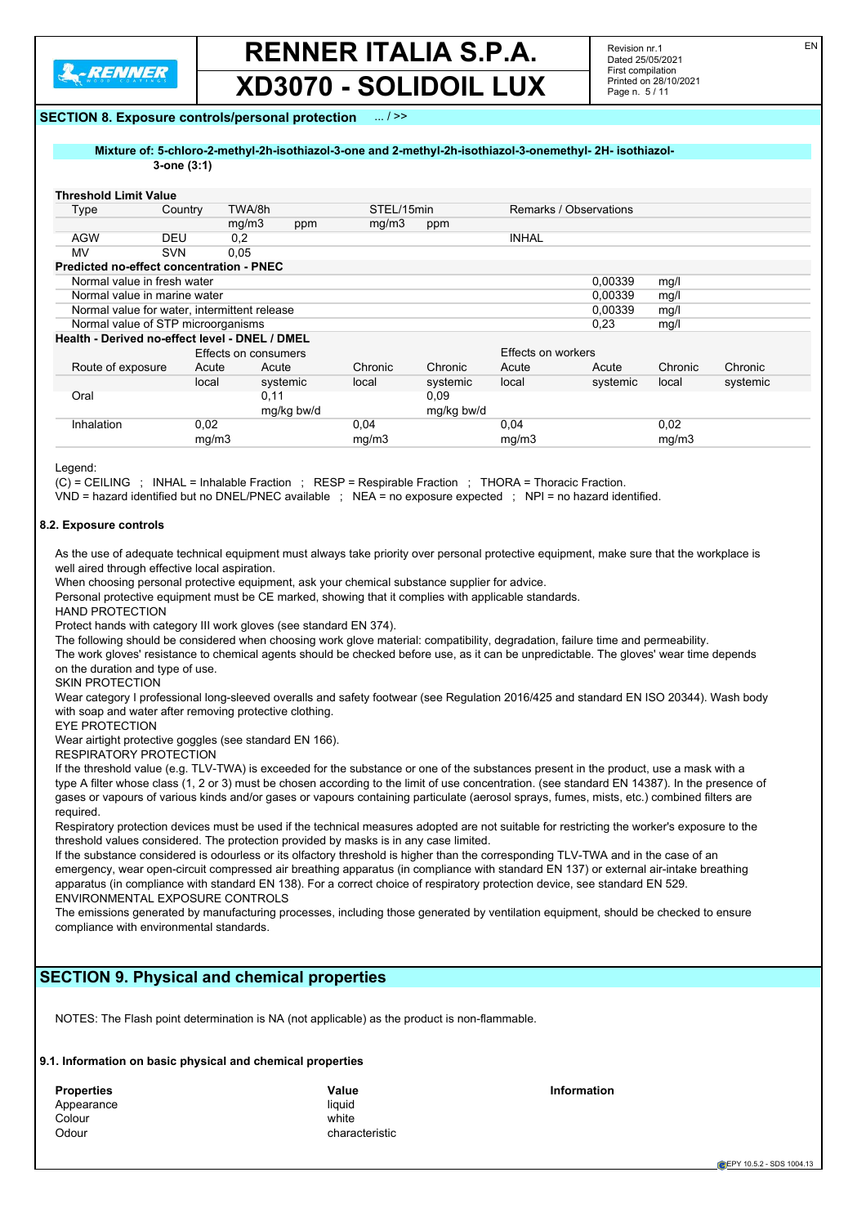

Revision nr.1 Dated 25/05/2021 First compilation Printed on 28/10/2021 Page n. 5 / 11

#### **SECTION 8. Exposure controls/personal protection** ... / >>

**Mixture of: 5-chloro-2-methyl-2h-isothiazol-3-one and 2-methyl-2h-isothiazol-3-onemethyl- 2H- isothiazol-**

# **3-one (3:1)**

| <b>Threshold Limit Value</b>                   |            |                      |            |            |            |                        |          |         |          |
|------------------------------------------------|------------|----------------------|------------|------------|------------|------------------------|----------|---------|----------|
| Type                                           | Country    | TWA/8h               |            | STEL/15min |            | Remarks / Observations |          |         |          |
|                                                |            | mg/m3                | ppm        | mq/m3      | ppm        |                        |          |         |          |
| <b>AGW</b>                                     | DEU        | 0,2                  |            |            |            | <b>INHAL</b>           |          |         |          |
| MV                                             | <b>SVN</b> | 0,05                 |            |            |            |                        |          |         |          |
| Predicted no-effect concentration - PNEC       |            |                      |            |            |            |                        |          |         |          |
| Normal value in fresh water                    |            |                      |            |            |            |                        | 0,00339  | mg/l    |          |
| Normal value in marine water                   |            |                      |            |            |            |                        | 0.00339  | mg/     |          |
| Normal value for water, intermittent release   |            |                      |            |            |            |                        | 0.00339  | mg/l    |          |
| Normal value of STP microorganisms             |            |                      |            |            |            | 0,23                   | mg/l     |         |          |
| Health - Derived no-effect level - DNEL / DMEL |            |                      |            |            |            |                        |          |         |          |
|                                                |            | Effects on consumers |            |            |            | Effects on workers     |          |         |          |
| Route of exposure                              | Acute      |                      | Acute      | Chronic    | Chronic    | Acute                  | Acute    | Chronic | Chronic  |
|                                                | local      |                      | systemic   | local      | systemic   | local                  | systemic | local   | systemic |
| Oral                                           |            | 0,11                 |            |            | 0.09       |                        |          |         |          |
|                                                |            |                      | mg/kg bw/d |            | mg/kg bw/d |                        |          |         |          |
| Inhalation                                     | 0,02       |                      |            | 0,04       |            | 0,04                   |          | 0,02    |          |
|                                                | mq/m3      |                      |            | mg/m3      |            | mq/m3                  |          | mg/m3   |          |

Legend:

(C) = CEILING ; INHAL = Inhalable Fraction ; RESP = Respirable Fraction ; THORA = Thoracic Fraction.

VND = hazard identified but no DNEL/PNEC available ; NEA = no exposure expected ; NPI = no hazard identified.

#### **8.2. Exposure controls**

As the use of adequate technical equipment must always take priority over personal protective equipment, make sure that the workplace is well aired through effective local aspiration.

When choosing personal protective equipment, ask your chemical substance supplier for advice.

Personal protective equipment must be CE marked, showing that it complies with applicable standards.

HAND PROTECTION

Protect hands with category III work gloves (see standard EN 374).

The following should be considered when choosing work glove material: compatibility, degradation, failure time and permeability.

The work gloves' resistance to chemical agents should be checked before use, as it can be unpredictable. The gloves' wear time depends on the duration and type of use.

SKIN PROTECTION

Wear category I professional long-sleeved overalls and safety footwear (see Regulation 2016/425 and standard EN ISO 20344). Wash body with soap and water after removing protective clothing.

EYE PROTECTION

Wear airtight protective goggles (see standard EN 166).

RESPIRATORY PROTECTION

If the threshold value (e.g. TLV-TWA) is exceeded for the substance or one of the substances present in the product, use a mask with a type A filter whose class (1, 2 or 3) must be chosen according to the limit of use concentration. (see standard EN 14387). In the presence of gases or vapours of various kinds and/or gases or vapours containing particulate (aerosol sprays, fumes, mists, etc.) combined filters are required.

Respiratory protection devices must be used if the technical measures adopted are not suitable for restricting the worker's exposure to the threshold values considered. The protection provided by masks is in any case limited.

If the substance considered is odourless or its olfactory threshold is higher than the corresponding TLV-TWA and in the case of an emergency, wear open-circuit compressed air breathing apparatus (in compliance with standard EN 137) or external air-intake breathing apparatus (in compliance with standard EN 138). For a correct choice of respiratory protection device, see standard EN 529. ENVIRONMENTAL EXPOSURE CONTROLS

The emissions generated by manufacturing processes, including those generated by ventilation equipment, should be checked to ensure compliance with environmental standards.

### **SECTION 9. Physical and chemical properties**

NOTES: The Flash point determination is NA (not applicable) as the product is non-flammable.

#### **9.1. Information on basic physical and chemical properties**

| <b>Properties</b> | Value          |
|-------------------|----------------|
| Appearance        | liauid         |
| Colour            | white          |
| Odour             | characteristic |

**Information**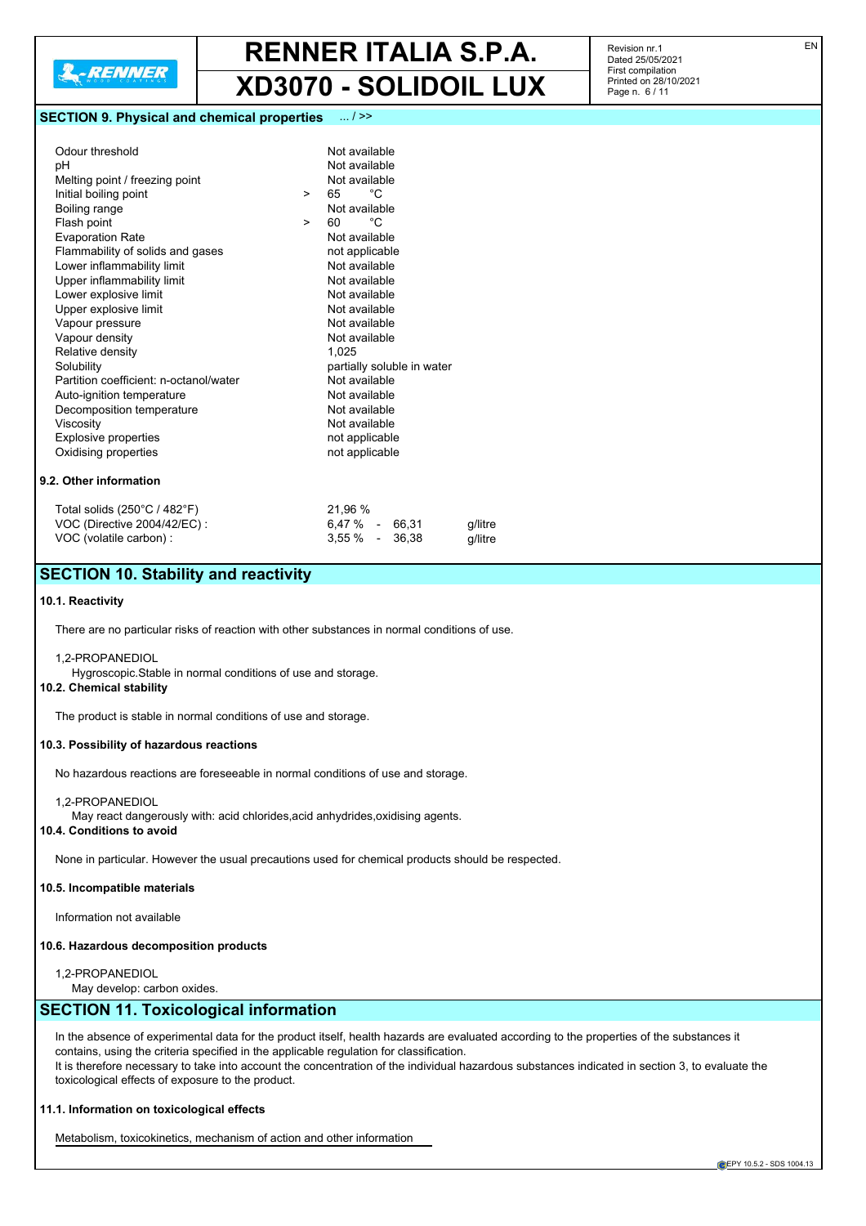

#### **SECTION 9. Physical and chemical properties** ... / >>

| Odour threshold                        |        | Not available              |
|----------------------------------------|--------|----------------------------|
| рH                                     |        | Not available              |
| Melting point / freezing point         |        | Not available              |
| Initial boiling point                  | $\geq$ | °C<br>65                   |
| Boiling range                          |        | Not available              |
| Flash point                            | $\geq$ | °€<br>60                   |
| <b>Evaporation Rate</b>                |        | Not available              |
| Flammability of solids and gases       |        | not applicable             |
| Lower inflammability limit             |        | Not available              |
| Upper inflammability limit             |        | Not available              |
| Lower explosive limit                  |        | Not available              |
| Upper explosive limit                  |        | Not available              |
| Vapour pressure                        |        | Not available              |
| Vapour density                         |        | Not available              |
| Relative density                       |        | 1,025                      |
| Solubility                             |        | partially soluble in water |
| Partition coefficient: n-octanol/water |        | Not available              |
| Auto-ignition temperature              |        | Not available              |
| Decomposition temperature              |        | Not available              |
| Viscosity                              |        | Not available              |
| <b>Explosive properties</b>            |        | not applicable             |
| Oxidising properties                   |        | not applicable             |
|                                        |        |                            |
| 9.2. Other information                 |        |                            |
|                                        |        |                            |

| Total solids (250°C / 482°F) | 21.96 %            |         |
|------------------------------|--------------------|---------|
| VOC (Directive 2004/42/EC) : | 6.47 % - 66.31     | a/litre |
| VOC (volatile carbon):       | $3.55\%$ - $36.38$ | q/litre |

# **SECTION 10. Stability and reactivity**

#### **10.1. Reactivity**

There are no particular risks of reaction with other substances in normal conditions of use.

1,2-PROPANEDIOL

Hygroscopic.Stable in normal conditions of use and storage.

#### **10.2. Chemical stability**

The product is stable in normal conditions of use and storage.

#### **10.3. Possibility of hazardous reactions**

No hazardous reactions are foreseeable in normal conditions of use and storage.

#### 1,2-PROPANEDIOL

May react dangerously with: acid chlorides,acid anhydrides,oxidising agents.

#### **10.4. Conditions to avoid**

None in particular. However the usual precautions used for chemical products should be respected.

#### **10.5. Incompatible materials**

Information not available

#### **10.6. Hazardous decomposition products**

1,2-PROPANEDIOL

May develop: carbon oxides.

# **SECTION 11. Toxicological information**

In the absence of experimental data for the product itself, health hazards are evaluated according to the properties of the substances it contains, using the criteria specified in the applicable regulation for classification. It is therefore necessary to take into account the concentration of the individual hazardous substances indicated in section 3, to evaluate the toxicological effects of exposure to the product.

#### **11.1. Information on toxicological effects**

Metabolism, toxicokinetics, mechanism of action and other information

Revision nr.1 Dated 25/05/2021 First compilation Printed on 28/10/2021 Page n. 6 / 11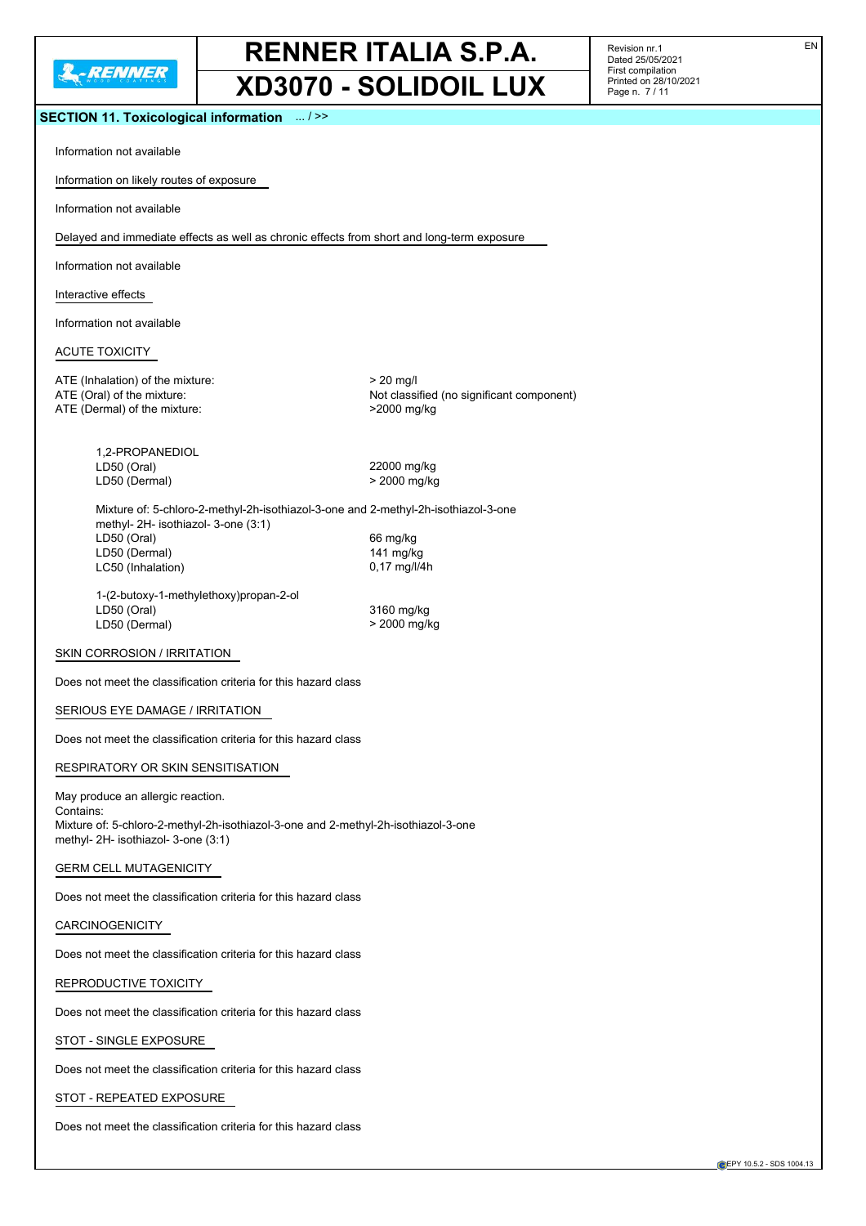

Revision nr.1 Dated 25/05/2021 First compilation Printed on 28/10/2021 Page n. 7 / 11

#### **SECTION 11. Toxicological information** ... / >>

Information not available

Information on likely routes of exposure

Information not available

Delayed and immediate effects as well as chronic effects from short and long-term exposure

Information not available

Interactive effects

Information not available

#### ACUTE TOXICITY

ATE (Inhalation) of the mixture:  $> 20$  mg/l ATE (Oral) of the mixture:  $\overline{ATE}$  (Oral) of the mixture:  $\overline{ATE}$  (Dermal) of the mixture:  $\overline{ATE}$  (Dermal) of the mixture: ATE (Dermal) of the mixture:

1,2-PROPANEDIOL LD50 (Oral) 22000 mg/kg LD50 (Dermal) > 2000 mg/kg

Mixture of: 5-chloro-2-methyl-2h-isothiazol-3-one and 2-methyl-2h-isothiazol-3-one methyl- 2H- isothiazol- 3-one (3:1) LD50 (Oral) 66 mg/kg LD50 (Dermal) 141 mg/kg LC50 (Inhalation) 0,17 mg/l/4h

1-(2-butoxy-1-methylethoxy)propan-2-ol LD50 (Oral) 3160 mg/kg LD50 (Dermal)  $>$  2000 mg/kg

#### SKIN CORROSION / IRRITATION

Does not meet the classification criteria for this hazard class

#### SERIOUS EYE DAMAGE / IRRITATION

Does not meet the classification criteria for this hazard class

RESPIRATORY OR SKIN SENSITISATION

May produce an allergic reaction. Contains: Mixture of: 5-chloro-2-methyl-2h-isothiazol-3-one and 2-methyl-2h-isothiazol-3-one methyl- 2H- isothiazol- 3-one (3:1)

GERM CELL MUTAGENICITY

Does not meet the classification criteria for this hazard class

CARCINOGENICITY

Does not meet the classification criteria for this hazard class

REPRODUCTIVE TOXICITY

Does not meet the classification criteria for this hazard class

STOT - SINGLE EXPOSURE

Does not meet the classification criteria for this hazard class

STOT - REPEATED EXPOSURE

Does not meet the classification criteria for this hazard class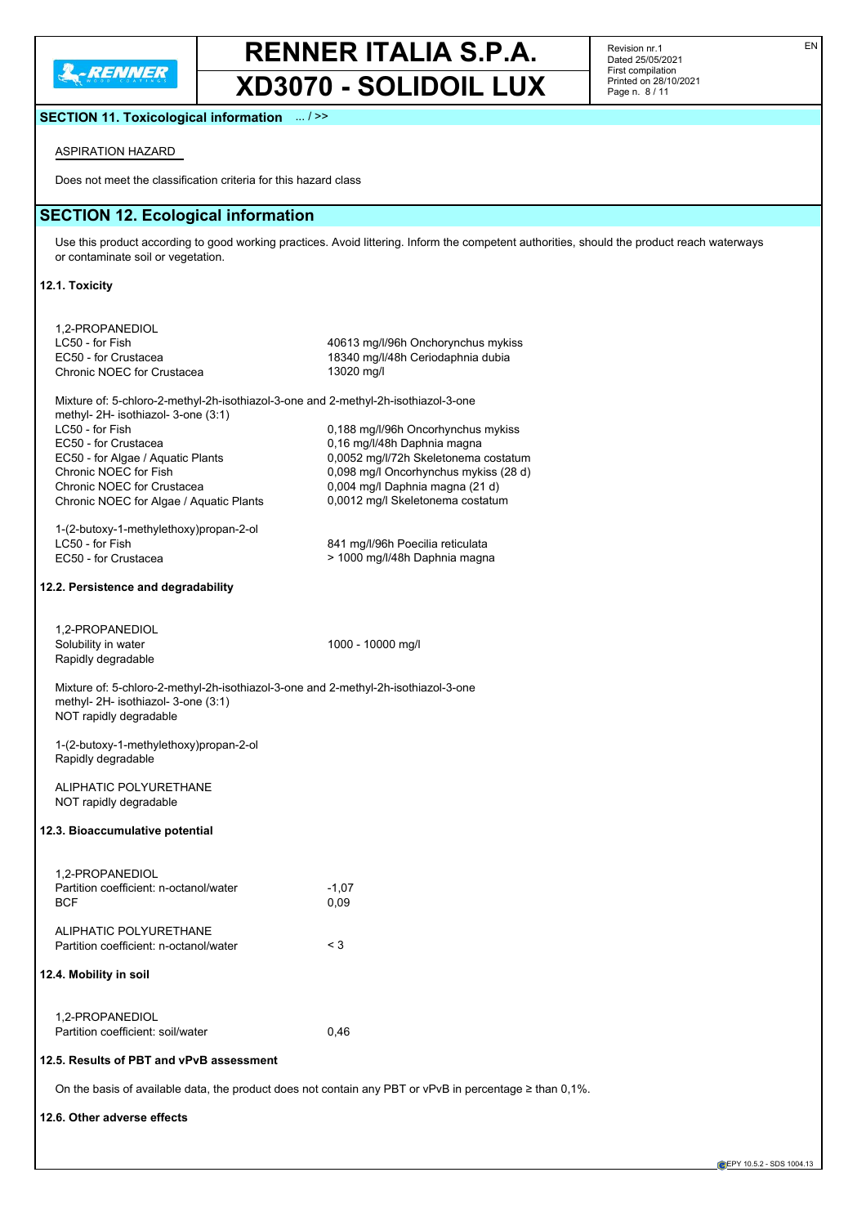

Revision nr.1 Dated 25/05/2021 First compilation Printed on 28/10/2021 Page n. 8 / 11

# **SECTION 11. Toxicological information** ... / >>

# ASPIRATION HAZARD

Does not meet the classification criteria for this hazard class

# **SECTION 12. Ecological information**

Use this product according to good working practices. Avoid littering. Inform the competent authorities, should the product reach waterways or contaminate soil or vegetation.

#### **12.1. Toxicity**

| 1,2-PROPANEDIOL                                                                    |                                                                                                              |
|------------------------------------------------------------------------------------|--------------------------------------------------------------------------------------------------------------|
| LC50 - for Fish                                                                    | 40613 mg/l/96h Onchorynchus mykiss                                                                           |
| EC50 - for Crustacea                                                               | 18340 mg/l/48h Ceriodaphnia dubia                                                                            |
| Chronic NOEC for Crustacea                                                         | 13020 mg/l                                                                                                   |
| Mixture of: 5-chloro-2-methyl-2h-isothiazol-3-one and 2-methyl-2h-isothiazol-3-one |                                                                                                              |
| methyl- $2H$ - isothiazol- 3-one $(3:1)$                                           |                                                                                                              |
| LC50 - for Fish                                                                    | 0,188 mg/l/96h Oncorhynchus mykiss                                                                           |
| EC50 - for Crustacea                                                               | 0,16 mg/l/48h Daphnia magna                                                                                  |
| EC50 - for Algae / Aquatic Plants                                                  | 0,0052 mg/l/72h Skeletonema costatum                                                                         |
| Chronic NOEC for Fish                                                              | 0,098 mg/l Oncorhynchus mykiss (28 d)                                                                        |
| Chronic NOEC for Crustacea                                                         | 0,004 mg/l Daphnia magna (21 d)                                                                              |
| Chronic NOEC for Algae / Aquatic Plants                                            | 0,0012 mg/l Skeletonema costatum                                                                             |
|                                                                                    |                                                                                                              |
| 1-(2-butoxy-1-methylethoxy)propan-2-ol                                             |                                                                                                              |
| LC50 - for Fish                                                                    | 841 mg/l/96h Poecilia reticulata                                                                             |
| EC50 - for Crustacea                                                               | > 1000 mg/l/48h Daphnia magna                                                                                |
|                                                                                    |                                                                                                              |
| 12.2. Persistence and degradability                                                |                                                                                                              |
| 1,2-PROPANEDIOL                                                                    |                                                                                                              |
| Solubility in water                                                                | 1000 - 10000 mg/l                                                                                            |
| Rapidly degradable                                                                 |                                                                                                              |
|                                                                                    |                                                                                                              |
| Mixture of: 5-chloro-2-methyl-2h-isothiazol-3-one and 2-methyl-2h-isothiazol-3-one |                                                                                                              |
| methyl- 2H- isothiazol- 3-one (3:1)                                                |                                                                                                              |
| NOT rapidly degradable                                                             |                                                                                                              |
|                                                                                    |                                                                                                              |
| 1-(2-butoxy-1-methylethoxy)propan-2-ol                                             |                                                                                                              |
| Rapidly degradable                                                                 |                                                                                                              |
| ALIPHATIC POLYURETHANE                                                             |                                                                                                              |
| NOT rapidly degradable                                                             |                                                                                                              |
|                                                                                    |                                                                                                              |
| 12.3. Bioaccumulative potential                                                    |                                                                                                              |
|                                                                                    |                                                                                                              |
| 1,2-PROPANEDIOL                                                                    |                                                                                                              |
| Partition coefficient: n-octanol/water                                             | $-1,07$                                                                                                      |
| <b>BCF</b>                                                                         | 0,09                                                                                                         |
|                                                                                    |                                                                                                              |
| ALIPHATIC POLYURETHANE                                                             |                                                                                                              |
| Partition coefficient: n-octanol/water                                             | $<$ 3                                                                                                        |
|                                                                                    |                                                                                                              |
| 12.4. Mobility in soil                                                             |                                                                                                              |
|                                                                                    |                                                                                                              |
| 1,2-PROPANEDIOL                                                                    |                                                                                                              |
| Partition coefficient: soil/water                                                  |                                                                                                              |
|                                                                                    | 0,46                                                                                                         |
| 12.5. Results of PBT and vPvB assessment                                           |                                                                                                              |
|                                                                                    | On the basis of available data, the product does not contain any PBT or vPvB in percentage $\geq$ than 0,1%. |
| 12.6. Other adverse effects                                                        |                                                                                                              |
|                                                                                    |                                                                                                              |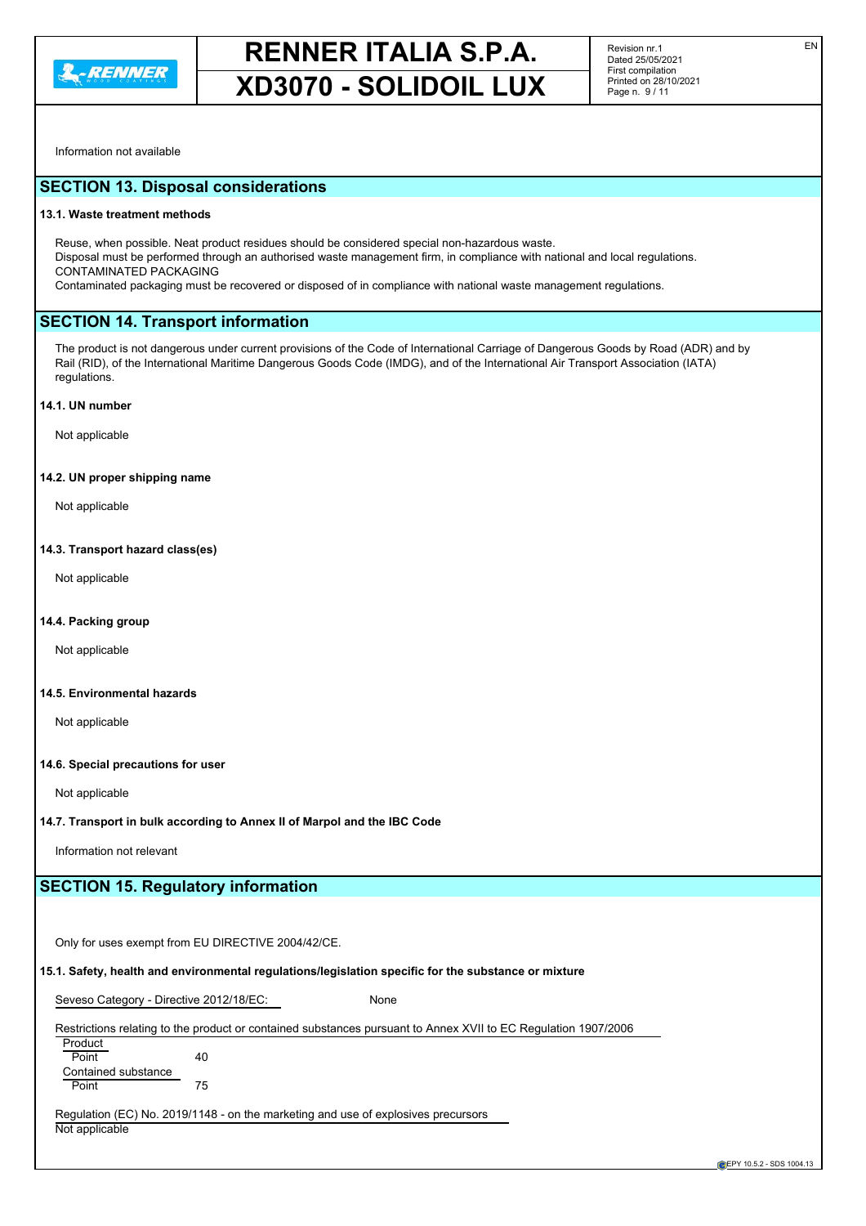

Information not available

# **SECTION 13. Disposal considerations**

#### **13.1. Waste treatment methods**

Reuse, when possible. Neat product residues should be considered special non-hazardous waste. Disposal must be performed through an authorised waste management firm, in compliance with national and local regulations. CONTAMINATED PACKAGING

Contaminated packaging must be recovered or disposed of in compliance with national waste management regulations.

#### **SECTION 14. Transport information**

The product is not dangerous under current provisions of the Code of International Carriage of Dangerous Goods by Road (ADR) and by Rail (RID), of the International Maritime Dangerous Goods Code (IMDG), and of the International Air Transport Association (IATA) regulations.

#### **14.1. UN number**

Not applicable

#### **14.2. UN proper shipping name**

Not applicable

#### **14.3. Transport hazard class(es)**

Not applicable

#### **14.4. Packing group**

Not applicable

#### **14.5. Environmental hazards**

Not applicable

#### **14.6. Special precautions for user**

Not applicable

#### **14.7. Transport in bulk according to Annex II of Marpol and the IBC Code**

Information not relevant

### **SECTION 15. Regulatory information**

Only for uses exempt from EU DIRECTIVE 2004/42/CE.

### **15.1. Safety, health and environmental regulations/legislation specific for the substance or mixture**

Seveso Category - Directive 2012/18/EC: None

### Restrictions relating to the product or contained substances pursuant to Annex XVII to EC Regulation 1907/2006

Product Point 40 Contained substance Point 75

Regulation (EC) No. 2019/1148 - on the marketing and use of explosives precursors Not applicable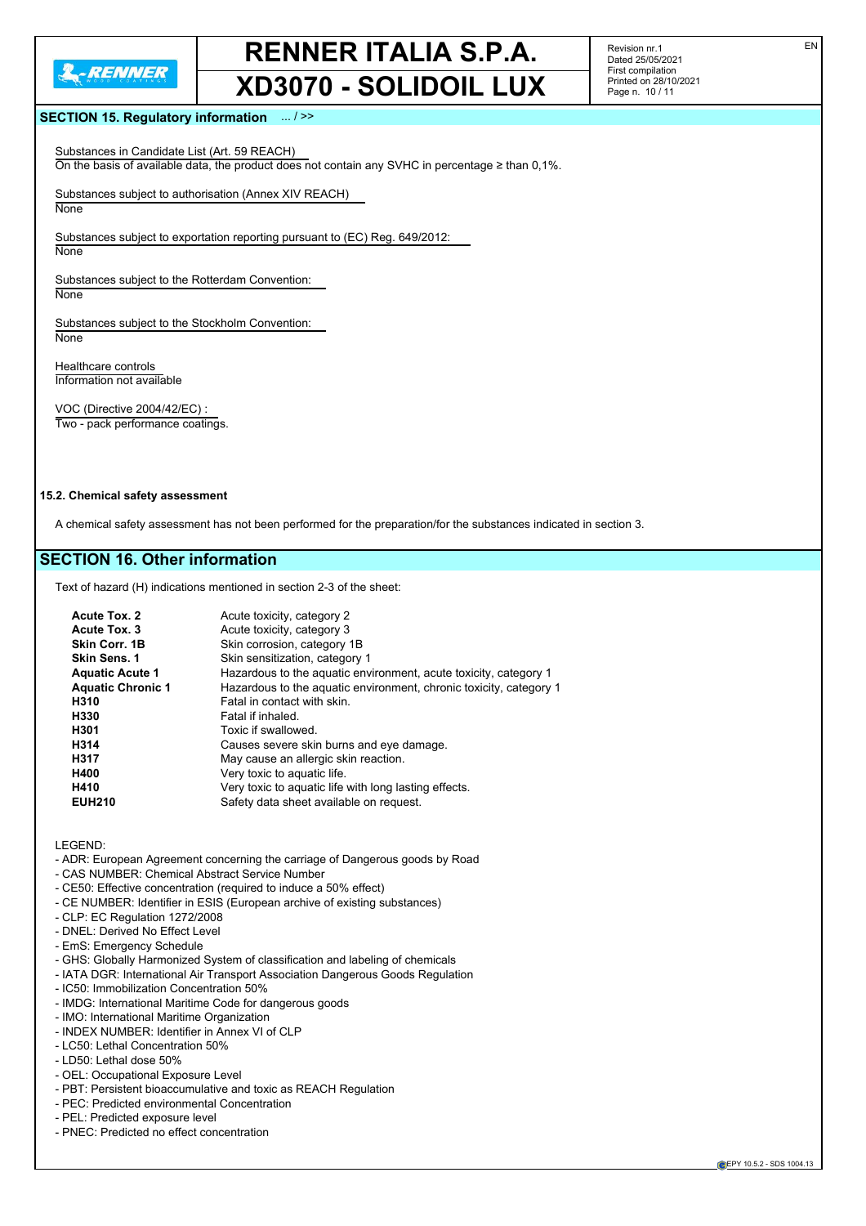

Revision nr.1 Dated 25/05/2021 First compilation Printed on 28/10/2021 Page n. 10 / 11

#### **SECTION 15. Regulatory information** ... / >>

Substances in Candidate List (Art. 59 REACH) On the basis of available data, the product does not contain any SVHC in percentage ≥ than 0,1%.

Substances subject to authorisation (Annex XIV REACH) **None** 

Substances subject to exportation reporting pursuant to (EC) Reg. 649/2012: **None** 

Substances subject to the Rotterdam Convention: **None** 

Substances subject to the Stockholm Convention: **None** 

Healthcare controls Information not available

VOC (Directive 2004/42/EC) : Two - pack performance coatings.

#### **15.2. Chemical safety assessment**

A chemical safety assessment has not been performed for the preparation/for the substances indicated in section 3.

### **SECTION 16. Other information**

Text of hazard (H) indications mentioned in section 2-3 of the sheet:

| Acute Tox. 2<br>Acute Tox, 3 | Acute toxicity, category 2<br>Acute toxicity, category 3           |
|------------------------------|--------------------------------------------------------------------|
| Skin Corr. 1B                | Skin corrosion, category 1B                                        |
| Skin Sens. 1                 | Skin sensitization, category 1                                     |
| <b>Aquatic Acute 1</b>       | Hazardous to the aquatic environment, acute toxicity, category 1   |
| <b>Aquatic Chronic 1</b>     | Hazardous to the aquatic environment, chronic toxicity, category 1 |
| H310                         | Fatal in contact with skin.                                        |
| H330                         | Fatal if inhaled.                                                  |
| H301                         | Toxic if swallowed.                                                |
| H314                         | Causes severe skin burns and eye damage.                           |
| H317                         | May cause an allergic skin reaction.                               |
| H400                         | Very toxic to aquatic life.                                        |
| H410                         | Very toxic to aquatic life with long lasting effects.              |
| <b>EUH210</b>                | Safety data sheet available on request.                            |

LEGEND:

- ADR: European Agreement concerning the carriage of Dangerous goods by Road
- CAS NUMBER: Chemical Abstract Service Number
- CE50: Effective concentration (required to induce a 50% effect)
- CE NUMBER: Identifier in ESIS (European archive of existing substances)
- CLP: EC Regulation 1272/2008
- DNEL: Derived No Effect Level
- EmS: Emergency Schedule
- GHS: Globally Harmonized System of classification and labeling of chemicals
- IATA DGR: International Air Transport Association Dangerous Goods Regulation
- IC50: Immobilization Concentration 50%
- IMDG: International Maritime Code for dangerous goods
- IMO: International Maritime Organization
- INDEX NUMBER: Identifier in Annex VI of CLP
- LC50: Lethal Concentration 50%
- LD50: Lethal dose 50%
- OEL: Occupational Exposure Level
- PBT: Persistent bioaccumulative and toxic as REACH Regulation
- PEC: Predicted environmental Concentration
- PEL: Predicted exposure level
- PNEC: Predicted no effect concentration